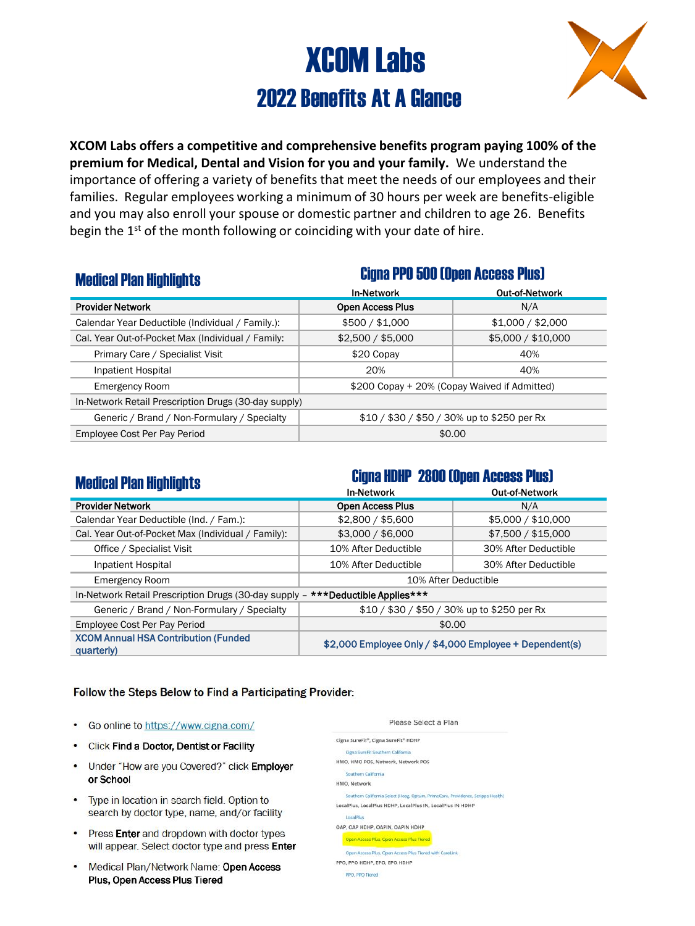# XCOM Labs 2022 Benefits At A Glance



**XCOM Labs offers a competitive and comprehensive benefits program paying 100% of the premium for Medical, Dental and Vision for you and your family.** We understand the importance of offering a variety of benefits that meet the needs of our employees and their families. Regular employees working a minimum of 30 hours per week are benefits-eligible and you may also enroll your spouse or domestic partner and children to age 26. Benefits begin the  $1<sup>st</sup>$  of the month following or coinciding with your date of hire.

## Medical Plan Highlights Cigna PPO 500 (Open Access Plus)

|                                                      | <b>In-Network</b>                            | Out-of-Network     |  |  |
|------------------------------------------------------|----------------------------------------------|--------------------|--|--|
| <b>Provider Network</b>                              | <b>Open Access Plus</b>                      | N/A                |  |  |
| Calendar Year Deductible (Individual / Family.):     | \$500 / \$1,000                              | \$1,000 / \$2,000  |  |  |
| Cal. Year Out-of-Pocket Max (Individual / Family:    | \$2,500 / \$5,000                            | \$5,000 / \$10,000 |  |  |
| Primary Care / Specialist Visit                      | \$20 Copay                                   | 40%                |  |  |
| Inpatient Hospital                                   | 20%                                          | 40%                |  |  |
| <b>Emergency Room</b>                                | \$200 Copay + 20% (Copay Waived if Admitted) |                    |  |  |
| In-Network Retail Prescription Drugs (30-day supply) |                                              |                    |  |  |
| Generic / Brand / Non-Formulary / Specialty          | \$10 / \$30 / \$50 / 30% up to \$250 per Rx  |                    |  |  |
| Employee Cost Per Pay Period                         | \$0.00                                       |                    |  |  |

### **Medical Plan Highlights Cigna HDHP 2800 (Open Access Plus)**<br>In-Network Cut-of-Network Out-of-Network Provider Network **Contract Contract Contract Contract Contract Contract Contract Contract Contract Contract Contract Contract Contract Contract Contract Contract Contract Contract Contract Contract Contract Contract Contra** Calendar Year Deductible (Ind. / Fam.):  $$2,800 / $5,600$  \$5,000 / \$10,000 Cal. Year Out-of-Pocket Max (Individual / Family):  $\begin{array}{c} \n\phantom{\times}\n\end{array}$  \$3,000 / \$6,000  $\phantom{\times}$  \$7,500 / \$15,000 Office / Specialist Visit 10% After Deductible 10% After Deductible 30% After Deductible Inpatient Hospital 10% After Deductible 30% After Deductible Emergency Room and the state of the state of the state of the 10% After Deductible In-Network Retail Prescription Drugs (30-day supply – \*\*\*Deductible Applies\*\*\* Generic / Brand / Non-Formulary / Specialty  $\vert$  \$10 / \$30 / \$50 / 30% up to \$250 per Rx Employee Cost Per Pay Period **\$0.00** \$0.00 XCOM Annual HSA Contribution (Funded ACOM Annual HSA Continuution (Funded \$2,000 Employee Only / \$4,000 Employee + Dependent(s)

### Follow the Steps Below to Find a Participating Provider:

- Go online to https://www.cigna.com/
- Click Find a Doctor, Dentist or Facility
- Under "How are you Covered?" click Employer or School
- Type in location in search field. Option to search by doctor type, name, and/or facility
- Press Enter and dropdown with doctor types will appear. Select doctor type and press Enter
- $\bullet$ Medical Plan/Network Name: Open Access Plus, Open Access Plus Tiered

Please Select a Plan Cigna SureFit<sup>®</sup>, Cigna SureFit<sup>®</sup> HDHP Cigna SureFit Southern Californ HMO, HMO POS, Network, Network POS Southern California HMO Network Southern California Select (Hoag, Optum, PrimeCare, Pri LocalPlus, LocalPlus HDHP, LocalPlus IN, LocalPlus IN HDHP LocalPhia OAP, OAP HDHP, OAPIN, OAPIN HDHP Open Access Plus, Open Access Plus Tiered Open Access Plus, Open Access Plus Tiered with CareLink PPO, PPO HDHP, EPO, EPO HDHP PPO, PPO Tiered